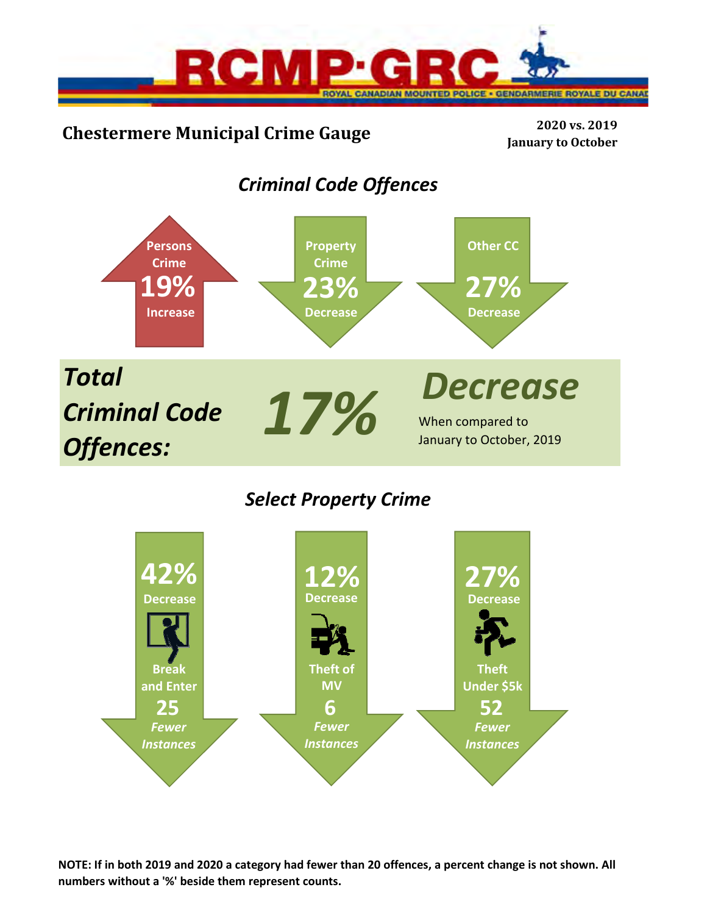

# **Chestermere Municipal Crime Gauge <sup>2020</sup> vs. <sup>2019</sup>**

**January to October**

# *Criminal Code Offences*



# *Select Property Crime*



**NOTE: If in both 2019 and 2020 a category had fewer than 20 offences, a percent change is not shown. All numbers without a '%' beside them represent counts.**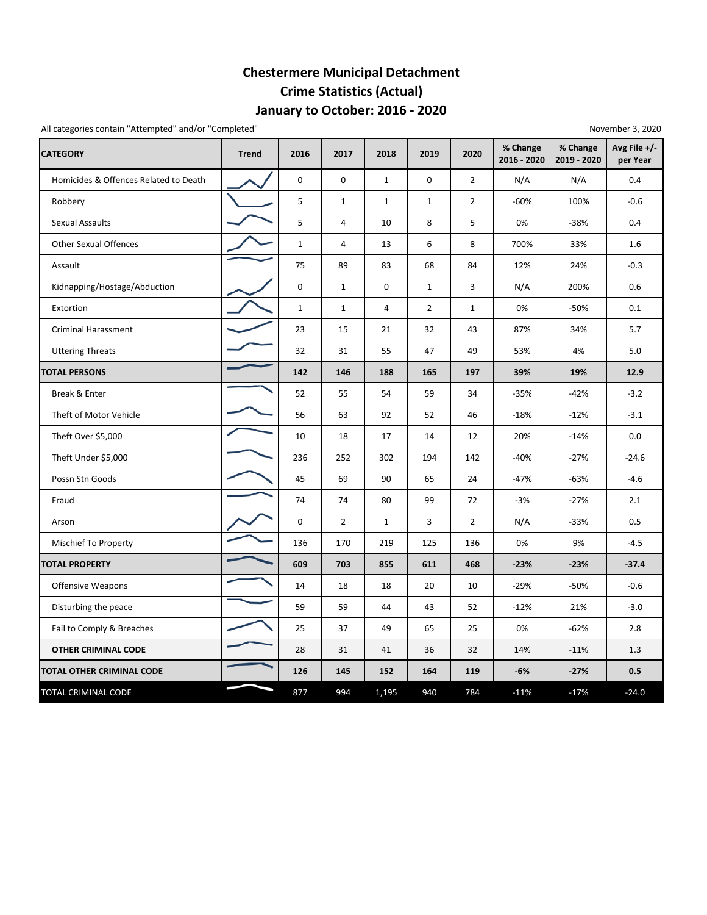## **January to October: 2016 ‐ 2020 Chestermere Municipal Detachment Crime Statistics (Actual)**

All categories contain "Attempted" and/or "Completed" and a state of the state of the state of the November 3, 2020

| <b>CATEGORY</b>                       | <b>Trend</b> | 2016         | 2017           | 2018         | 2019           | 2020           | % Change<br>2016 - 2020 | % Change<br>2019 - 2020 | Avg File +/-<br>per Year |
|---------------------------------------|--------------|--------------|----------------|--------------|----------------|----------------|-------------------------|-------------------------|--------------------------|
| Homicides & Offences Related to Death |              | 0            | 0              | $\mathbf{1}$ | 0              | $\overline{2}$ | N/A                     | N/A                     | 0.4                      |
| Robbery                               |              | 5            | $\mathbf{1}$   | $\mathbf{1}$ | $\mathbf{1}$   | $\overline{2}$ | $-60%$                  | 100%                    | $-0.6$                   |
| <b>Sexual Assaults</b>                |              | 5            | 4              | 10           | 8              | 5              | 0%                      | $-38%$                  | 0.4                      |
| <b>Other Sexual Offences</b>          |              | $\mathbf{1}$ | 4              | 13           | 6              | 8              | 700%                    | 33%                     | 1.6                      |
| Assault                               |              | 75           | 89             | 83           | 68             | 84             | 12%                     | 24%                     | $-0.3$                   |
| Kidnapping/Hostage/Abduction          |              | 0            | $\mathbf{1}$   | $\mathbf 0$  | $\mathbf{1}$   | 3              | N/A                     | 200%                    | 0.6                      |
| Extortion                             |              | $1\,$        | $\mathbf{1}$   | $\sqrt{4}$   | $\overline{2}$ | $\mathbf{1}$   | 0%                      | -50%                    | 0.1                      |
| <b>Criminal Harassment</b>            |              | 23           | 15             | 21           | 32             | 43             | 87%                     | 34%                     | 5.7                      |
| <b>Uttering Threats</b>               |              | 32           | 31             | 55           | 47             | 49             | 53%                     | 4%                      | 5.0                      |
| <b>TOTAL PERSONS</b>                  |              | 142          | 146            | 188          | 165            | 197            | 39%                     | 19%                     | 12.9                     |
| Break & Enter                         |              | 52           | 55             | 54           | 59             | 34             | $-35%$                  | $-42%$                  | $-3.2$                   |
| Theft of Motor Vehicle                |              | 56           | 63             | 92           | 52             | 46             | $-18%$                  | $-12%$                  | $-3.1$                   |
| Theft Over \$5,000                    |              | 10           | 18             | 17           | 14             | 12             | 20%                     | $-14%$                  | 0.0                      |
| Theft Under \$5,000                   |              | 236          | 252            | 302          | 194            | 142            | -40%                    | $-27%$                  | $-24.6$                  |
| Possn Stn Goods                       |              | 45           | 69             | 90           | 65             | 24             | $-47%$                  | $-63%$                  | $-4.6$                   |
| Fraud                                 |              | 74           | 74             | 80           | 99             | 72             | $-3%$                   | $-27%$                  | 2.1                      |
| Arson                                 |              | 0            | $\overline{2}$ | $\mathbf{1}$ | 3              | $\overline{2}$ | N/A                     | $-33%$                  | 0.5                      |
| <b>Mischief To Property</b>           |              | 136          | 170            | 219          | 125            | 136            | 0%                      | 9%                      | $-4.5$                   |
| <b>TOTAL PROPERTY</b>                 |              | 609          | 703            | 855          | 611            | 468            | $-23%$                  | $-23%$                  | $-37.4$                  |
| Offensive Weapons                     |              | 14           | 18             | 18           | 20             | 10             | -29%                    | $-50%$                  | $-0.6$                   |
| Disturbing the peace                  |              | 59           | 59             | 44           | 43             | 52             | $-12%$                  | 21%                     | $-3.0$                   |
| Fail to Comply & Breaches             |              | 25           | 37             | 49           | 65             | 25             | 0%                      | $-62%$                  | 2.8                      |
| <b>OTHER CRIMINAL CODE</b>            |              | 28           | 31             | 41           | 36             | 32             | 14%                     | $-11%$                  | 1.3                      |
| <b>TOTAL OTHER CRIMINAL CODE</b>      |              | 126          | 145            | 152          | 164            | 119            | $-6%$                   | $-27%$                  | 0.5                      |
| TOTAL CRIMINAL CODE                   |              | 877          | 994            | 1,195        | 940            | 784            | $-11%$                  | $-17%$                  | $-24.0$                  |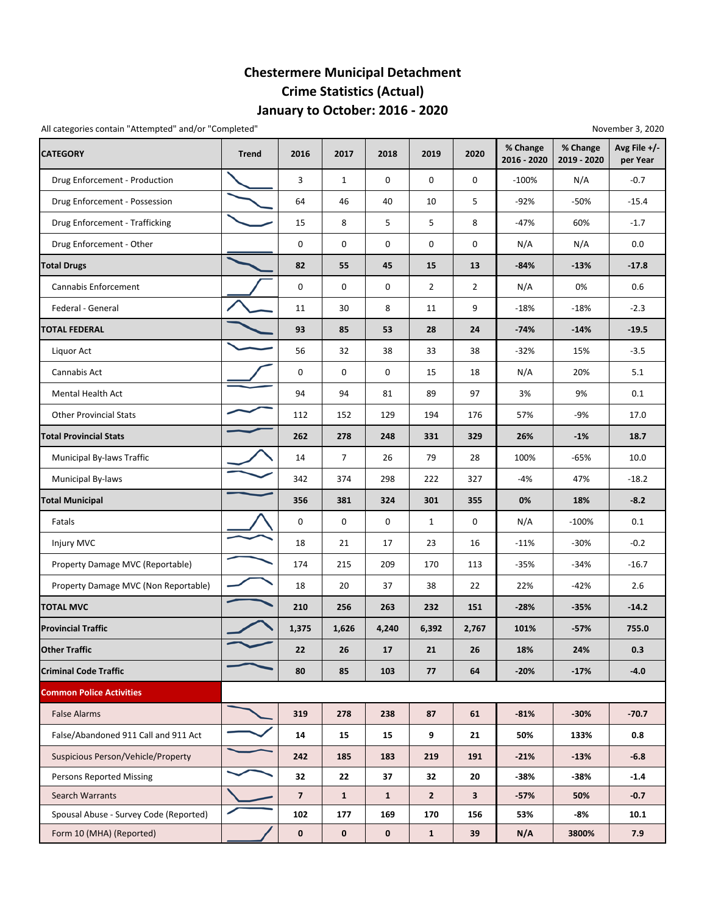## **January to October: 2016 ‐ 2020 Chestermere Municipal Detachment Crime Statistics (Actual)**

All categories contain "Attempted" and/or "Completed" and a state of the state of the state of the November 3, 2020

| <b>CATEGORY</b>                        | <b>Trend</b> | 2016                     | 2017           | 2018         | 2019           | 2020           | % Change<br>2016 - 2020 | % Change<br>2019 - 2020 | Avg File +/-<br>per Year |
|----------------------------------------|--------------|--------------------------|----------------|--------------|----------------|----------------|-------------------------|-------------------------|--------------------------|
| Drug Enforcement - Production          |              | 3                        | 1              | 0            | 0              | 0              | $-100%$                 | N/A                     | $-0.7$                   |
| Drug Enforcement - Possession          |              | 64                       | 46             | 40           | 10             | 5              | $-92%$                  | $-50%$                  | $-15.4$                  |
| Drug Enforcement - Trafficking         |              | 15                       | 8              | 5            | 5              | 8              | $-47%$                  | 60%                     | $-1.7$                   |
| Drug Enforcement - Other               |              | 0                        | 0              | 0            | 0              | 0              | N/A                     | N/A                     | 0.0                      |
| <b>Total Drugs</b>                     |              | 82                       | 55             | 45           | 15             | 13             | $-84%$                  | $-13%$                  | $-17.8$                  |
| Cannabis Enforcement                   |              | $\mathsf 0$              | $\mathbf 0$    | 0            | $\overline{2}$ | $\overline{2}$ | N/A                     | 0%                      | 0.6                      |
| Federal - General                      |              | 11                       | 30             | 8            | 11             | 9              | $-18%$                  | $-18%$                  | $-2.3$                   |
| <b>TOTAL FEDERAL</b>                   |              | 93                       | 85             | 53           | 28             | 24             | $-74%$                  | $-14%$                  | $-19.5$                  |
| Liquor Act                             |              | 56                       | 32             | 38           | 33             | 38             | $-32%$                  | 15%                     | $-3.5$                   |
| Cannabis Act                           |              | 0                        | 0              | 0            | 15             | 18             | N/A                     | 20%                     | 5.1                      |
| <b>Mental Health Act</b>               |              | 94                       | 94             | 81           | 89             | 97             | 3%                      | 9%                      | 0.1                      |
| <b>Other Provincial Stats</b>          |              | 112                      | 152            | 129          | 194            | 176            | 57%                     | -9%                     | 17.0                     |
| <b>Total Provincial Stats</b>          |              | 262                      | 278            | 248          | 331            | 329            | 26%                     | $-1%$                   | 18.7                     |
| Municipal By-laws Traffic              |              | 14                       | $\overline{7}$ | 26           | 79             | 28             | 100%                    | $-65%$                  | 10.0                     |
| Municipal By-laws                      |              | 342                      | 374            | 298          | 222            | 327            | $-4%$                   | 47%                     | $-18.2$                  |
| <b>Total Municipal</b>                 |              | 356                      | 381            | 324          | 301            | 355            | 0%                      | 18%                     | $-8.2$                   |
| Fatals                                 |              | 0                        | 0              | 0            | $\mathbf{1}$   | 0              | N/A                     | $-100%$                 | 0.1                      |
| Injury MVC                             |              | 18                       | 21             | 17           | 23             | 16             | $-11%$                  | $-30%$                  | $-0.2$                   |
| Property Damage MVC (Reportable)       |              | 174                      | 215            | 209          | 170            | 113            | $-35%$                  | $-34%$                  | $-16.7$                  |
| Property Damage MVC (Non Reportable)   |              | 18                       | 20             | 37           | 38             | 22             | 22%                     | $-42%$                  | 2.6                      |
| <b>TOTAL MVC</b>                       |              | 210                      | 256            | 263          | 232            | 151            | $-28%$                  | $-35%$                  | $-14.2$                  |
| <b>Provincial Traffic</b>              |              | 1,375                    | 1,626          | 4,240        | 6,392          | 2,767          | 101%                    | $-57%$                  | 755.0                    |
| <b>Other Traffic</b>                   |              | 22                       | 26             | 17           | 21             | 26             | 18%                     | 24%                     | 0.3                      |
| <b>Criminal Code Traffic</b>           |              | 80                       | 85             | 103          | 77             | 64             | $-20%$                  | $-17%$                  | $-4.0$                   |
| <b>Common Police Activities</b>        |              |                          |                |              |                |                |                         |                         |                          |
| <b>False Alarms</b>                    |              | 319                      | 278            | 238          | 87             | 61             | $-81%$                  | $-30%$                  | $-70.7$                  |
| False/Abandoned 911 Call and 911 Act   |              | 14                       | 15             | 15           | 9              | 21             | 50%                     | 133%                    | 0.8                      |
| Suspicious Person/Vehicle/Property     |              | 242                      | 185            | 183          | 219            | 191            | $-21%$                  | $-13%$                  | $-6.8$                   |
| <b>Persons Reported Missing</b>        |              | 32                       | 22             | 37           | 32             | 20             | -38%                    | $-38%$                  | $-1.4$                   |
| <b>Search Warrants</b>                 |              | $\overline{\phantom{a}}$ | $\mathbf{1}$   | $\mathbf{1}$ | $\mathbf{2}$   | 3              | $-57%$                  | 50%                     | $-0.7$                   |
| Spousal Abuse - Survey Code (Reported) |              | 102                      | 177            | 169          | 170            | 156            | 53%                     | -8%                     | 10.1                     |
| Form 10 (MHA) (Reported)               |              | $\mathbf 0$              | $\mathbf 0$    | $\mathbf 0$  | $\mathbf{1}$   | 39             | N/A                     | 3800%                   | 7.9                      |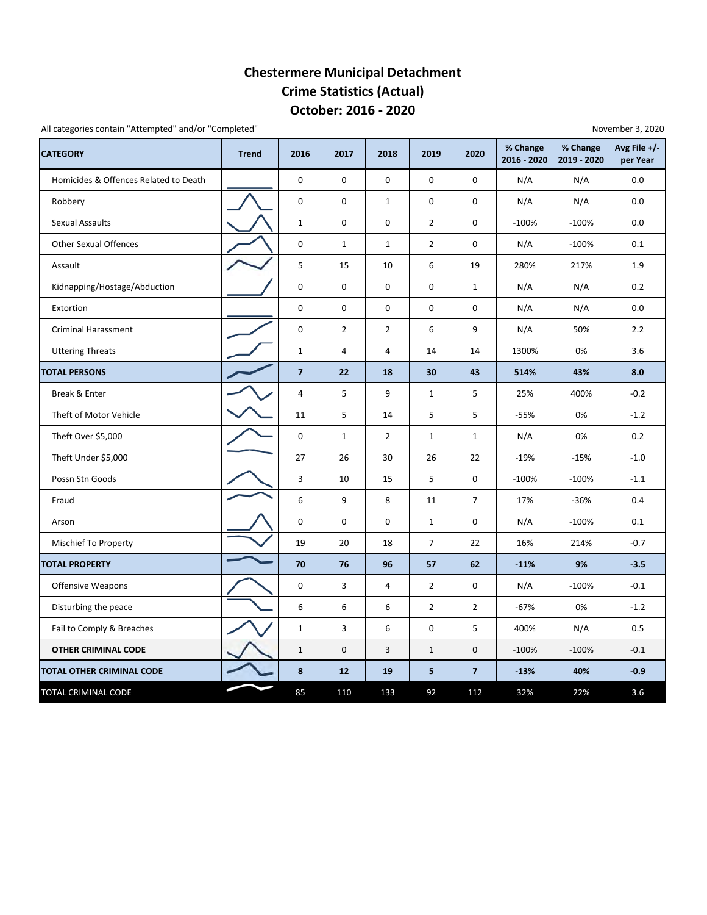### **October: 2016 ‐ 2020 Chestermere Municipal Detachment Crime Statistics (Actual)**

All categories contain "Attempted" and/or "Completed"

| <b>CATEGORY</b>                       | <b>Trend</b> | 2016                    | 2017           | 2018           | 2019           | 2020                    | % Change<br>2016 - 2020 | % Change<br>2019 - 2020 | Avg File $+/-$<br>per Year |
|---------------------------------------|--------------|-------------------------|----------------|----------------|----------------|-------------------------|-------------------------|-------------------------|----------------------------|
| Homicides & Offences Related to Death |              | 0                       | $\mathbf 0$    | $\mathbf 0$    | $\mathbf 0$    | 0                       | N/A                     | N/A                     | 0.0                        |
| Robbery                               |              | 0                       | $\mathbf 0$    | $\mathbf{1}$   | 0              | 0                       | N/A                     | N/A                     | 0.0                        |
| <b>Sexual Assaults</b>                |              | $\mathbf 1$             | 0              | 0              | $\overline{2}$ | 0                       | $-100%$                 | $-100%$                 | 0.0                        |
| <b>Other Sexual Offences</b>          |              | 0                       | $\mathbf{1}$   | $\mathbf{1}$   | $\overline{2}$ | 0                       | N/A                     | $-100%$                 | 0.1                        |
| Assault                               |              | 5                       | 15             | 10             | 6              | 19                      | 280%                    | 217%                    | 1.9                        |
| Kidnapping/Hostage/Abduction          |              | 0                       | $\mathbf 0$    | $\mathbf 0$    | 0              | $\mathbf{1}$            | N/A                     | N/A                     | 0.2                        |
| Extortion                             |              | 0                       | $\mathbf 0$    | 0              | 0              | 0                       | N/A                     | N/A                     | 0.0                        |
| <b>Criminal Harassment</b>            |              | 0                       | $\overline{2}$ | $\overline{2}$ | 6              | 9                       | N/A                     | 50%                     | 2.2                        |
| <b>Uttering Threats</b>               |              | $\mathbf{1}$            | 4              | $\overline{4}$ | 14             | 14                      | 1300%                   | 0%                      | 3.6                        |
| <b>TOTAL PERSONS</b>                  |              | $\overline{\mathbf{z}}$ | 22             | 18             | 30             | 43                      | 514%                    | 43%                     | 8.0                        |
| Break & Enter                         |              | 4                       | 5              | 9              | $\mathbf{1}$   | 5                       | 25%                     | 400%                    | $-0.2$                     |
| Theft of Motor Vehicle                |              | 11                      | 5              | 14             | 5              | 5                       | $-55%$                  | 0%                      | $-1.2$                     |
| Theft Over \$5,000                    |              | 0                       | $\mathbf{1}$   | $\overline{2}$ | $\mathbf{1}$   | $\mathbf{1}$            | N/A                     | 0%                      | 0.2                        |
| Theft Under \$5,000                   |              | 27                      | 26             | 30             | 26             | 22                      | $-19%$                  | $-15%$                  | $-1.0$                     |
| Possn Stn Goods                       |              | 3                       | 10             | 15             | 5              | 0                       | $-100%$                 | $-100%$                 | $-1.1$                     |
| Fraud                                 |              | 6                       | 9              | 8              | 11             | $\overline{7}$          | 17%                     | $-36%$                  | 0.4                        |
| Arson                                 |              | 0                       | 0              | 0              | $\mathbf{1}$   | 0                       | N/A                     | $-100%$                 | 0.1                        |
| Mischief To Property                  |              | 19                      | 20             | 18             | $\overline{7}$ | 22                      | 16%                     | 214%                    | $-0.7$                     |
| <b>TOTAL PROPERTY</b>                 |              | 70                      | 76             | 96             | 57             | 62                      | $-11%$                  | 9%                      | $-3.5$                     |
| Offensive Weapons                     |              | 0                       | 3              | 4              | $\overline{2}$ | 0                       | N/A                     | $-100%$                 | $-0.1$                     |
| Disturbing the peace                  |              | 6                       | 6              | 6              | $\overline{2}$ | $\overline{2}$          | $-67%$                  | 0%                      | $-1.2$                     |
| Fail to Comply & Breaches             |              | $\mathbf{1}$            | 3              | 6              | 0              | 5                       | 400%                    | N/A                     | 0.5                        |
| <b>OTHER CRIMINAL CODE</b>            |              | $\mathbf{1}$            | $\mathbf 0$    | 3              | $\mathbf{1}$   | 0                       | $-100%$                 | $-100%$                 | $-0.1$                     |
| <b>TOTAL OTHER CRIMINAL CODE</b>      |              | 8                       | 12             | 19             | 5              | $\overline{\mathbf{z}}$ | $-13%$                  | 40%                     | $-0.9$                     |
| TOTAL CRIMINAL CODE                   |              | 85                      | 110            | 133            | 92             | 112                     | 32%                     | 22%                     | 3.6                        |

November 3, 2020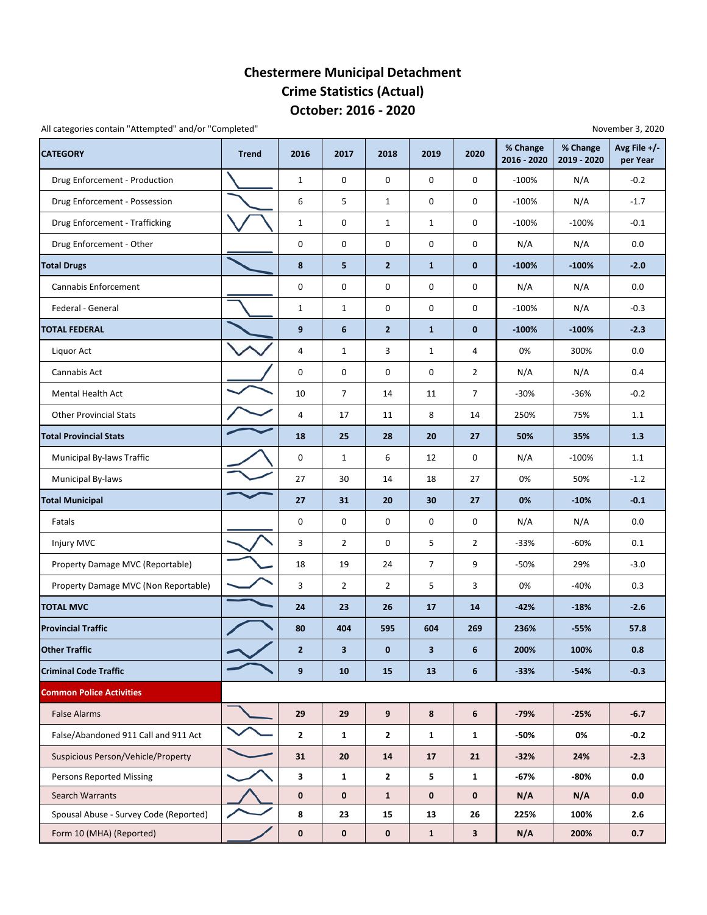### **October: 2016 ‐ 2020 Chestermere Municipal Detachment Crime Statistics (Actual)**

All categories contain "Attempted" and/or "Completed" November 3, 2020

| <b>CATEGORY</b>                        | <b>Trend</b> | 2016           | 2017           | 2018             | 2019           | 2020           | % Change<br>2016 - 2020 | % Change<br>2019 - 2020 | Avg File +/-<br>per Year |
|----------------------------------------|--------------|----------------|----------------|------------------|----------------|----------------|-------------------------|-------------------------|--------------------------|
| Drug Enforcement - Production          |              | $\mathbf{1}$   | 0              | 0                | 0              | 0              | $-100%$                 | N/A                     | $-0.2$                   |
| Drug Enforcement - Possession          |              | 6              | 5              | $\mathbf{1}$     | 0              | 0              | $-100%$                 | N/A                     | $-1.7$                   |
| Drug Enforcement - Trafficking         |              | $\mathbf{1}$   | 0              | $\mathbf{1}$     | $\mathbf{1}$   | 0              | $-100%$                 | $-100%$                 | $-0.1$                   |
| Drug Enforcement - Other               |              | 0              | 0              | 0                | 0              | 0              | N/A                     | N/A                     | 0.0                      |
| <b>Total Drugs</b>                     |              | 8              | 5              | $\overline{2}$   | $\mathbf{1}$   | $\bf{0}$       | $-100%$                 | $-100%$                 | $-2.0$                   |
| Cannabis Enforcement                   |              | 0              | 0              | $\mathbf 0$      | 0              | 0              | N/A                     | N/A                     | 0.0                      |
| Federal - General                      |              | $\mathbf{1}$   | 1              | 0                | 0              | 0              | $-100%$                 | N/A                     | $-0.3$                   |
| <b>TOTAL FEDERAL</b>                   |              | 9              | 6              | $\overline{2}$   | $\mathbf{1}$   | $\bf{0}$       | $-100%$                 | $-100%$                 | $-2.3$                   |
| Liquor Act                             |              | 4              | 1              | 3                | $\mathbf{1}$   | 4              | 0%                      | 300%                    | 0.0                      |
| Cannabis Act                           |              | 0              | 0              | 0                | 0              | $\overline{2}$ | N/A                     | N/A                     | 0.4                      |
| <b>Mental Health Act</b>               |              | 10             | $\overline{7}$ | 14               | 11             | 7              | $-30%$                  | $-36%$                  | $-0.2$                   |
| <b>Other Provincial Stats</b>          |              | 4              | 17             | 11               | 8              | 14             | 250%                    | 75%                     | 1.1                      |
| <b>Total Provincial Stats</b>          |              | 18             | 25             | 28               | 20             | 27             | 50%                     | 35%                     | 1.3                      |
| Municipal By-laws Traffic              |              | 0              | 1              | 6                | 12             | 0              | N/A                     | $-100%$                 | $1.1$                    |
| Municipal By-laws                      |              | 27             | 30             | 14               | 18             | 27             | 0%                      | 50%                     | $-1.2$                   |
| <b>Total Municipal</b>                 |              | 27             | 31             | 20               | 30             | 27             | 0%                      | $-10%$                  | $-0.1$                   |
| Fatals                                 |              | 0              | 0              | 0                | 0              | 0              | N/A                     | N/A                     | 0.0                      |
| Injury MVC                             |              | 3              | $\overline{2}$ | 0                | 5              | $\overline{2}$ | $-33%$                  | -60%                    | 0.1                      |
| Property Damage MVC (Reportable)       |              | 18             | 19             | 24               | $\overline{7}$ | 9              | -50%                    | 29%                     | $-3.0$                   |
| Property Damage MVC (Non Reportable)   |              | 3              | 2              | $\overline{2}$   | 5              | 3              | 0%                      | $-40%$                  | 0.3                      |
| <b>TOTAL MVC</b>                       |              | 24             | 23             | 26               | 17             | 14             | $-42%$                  | $-18%$                  | $-2.6$                   |
| <b>Provincial Traffic</b>              |              | 80             | 404            | 595              | 604            | 269            | 236%                    | $-55%$                  | 57.8                     |
| <b>Other Traffic</b>                   |              | $\overline{2}$ | 3              | $\bf{0}$         | 3              | 6              | 200%                    | 100%                    | 0.8                      |
| <b>Criminal Code Traffic</b>           |              | 9              | 10             | 15               | 13             | 6              | $-33%$                  | $-54%$                  | $-0.3$                   |
| <b>Common Police Activities</b>        |              |                |                |                  |                |                |                         |                         |                          |
| <b>False Alarms</b>                    |              | 29             | 29             | $\boldsymbol{9}$ | 8              | 6              | $-79%$                  | $-25%$                  | $-6.7$                   |
| False/Abandoned 911 Call and 911 Act   |              | $\mathbf{2}$   | $\mathbf{1}$   | $\mathbf{2}$     | $\mathbf{1}$   | $\mathbf{1}$   | -50%                    | 0%                      | $-0.2$                   |
| Suspicious Person/Vehicle/Property     |              | 31             | 20             | 14               | 17             | 21             | $-32%$                  | 24%                     | $-2.3$                   |
| <b>Persons Reported Missing</b>        |              | 3              | $\mathbf{1}$   | $\overline{2}$   | 5              | $\mathbf{1}$   | $-67%$                  | $-80%$                  | 0.0                      |
| Search Warrants                        |              | $\mathbf 0$    | $\pmb{0}$      | $\mathbf{1}$     | $\mathbf 0$    | $\mathbf 0$    | N/A                     | N/A                     | 0.0                      |
| Spousal Abuse - Survey Code (Reported) |              | 8              | 23             | 15               | 13             | 26             | 225%                    | 100%                    | 2.6                      |
| Form 10 (MHA) (Reported)               |              | $\pmb{0}$      | $\mathbf 0$    | $\mathbf 0$      | $\mathbf{1}$   | $\mathbf{3}$   | N/A                     | 200%                    | 0.7                      |